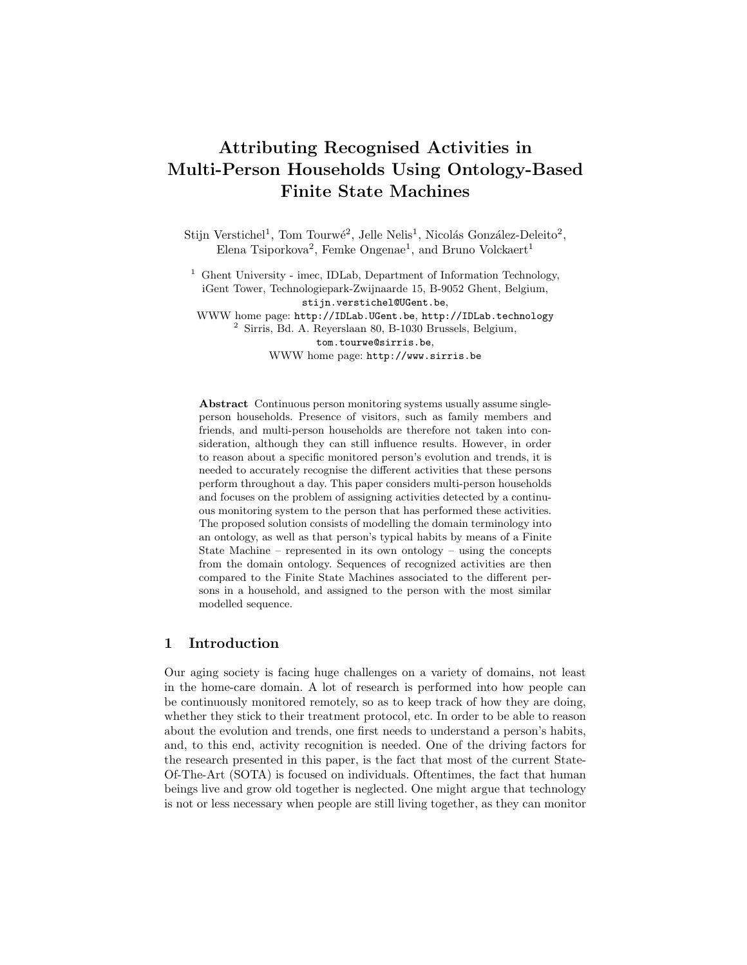# Attributing Recognised Activities in Multi-Person Households Using Ontology-Based Finite State Machines

Stijn Verstichel<sup>1</sup>, Tom Tourwé<sup>2</sup>, Jelle Nelis<sup>1</sup>, Nicolás González-Deleito<sup>2</sup>, Elena Tsiporkova<sup>2</sup>, Femke Ongenae<sup>1</sup>, and Bruno Volckaert<sup>1</sup>

<sup>1</sup> Ghent University - imec, IDLab, Department of Information Technology, iGent Tower, Technologiepark-Zwijnaarde 15, B-9052 Ghent, Belgium, stijn.verstichel@UGent.be,

WWW home page: http://IDLab.UGent.be, http://IDLab.technology <sup>2</sup> Sirris, Bd. A. Reyerslaan 80, B-1030 Brussels, Belgium, tom.tourwe@sirris.be,

WWW home page: http://www.sirris.be

Abstract Continuous person monitoring systems usually assume singleperson households. Presence of visitors, such as family members and friends, and multi-person households are therefore not taken into consideration, although they can still influence results. However, in order to reason about a specific monitored person's evolution and trends, it is needed to accurately recognise the different activities that these persons perform throughout a day. This paper considers multi-person households and focuses on the problem of assigning activities detected by a continuous monitoring system to the person that has performed these activities. The proposed solution consists of modelling the domain terminology into an ontology, as well as that person's typical habits by means of a Finite State Machine – represented in its own ontology – using the concepts from the domain ontology. Sequences of recognized activities are then compared to the Finite State Machines associated to the different persons in a household, and assigned to the person with the most similar modelled sequence.

## 1 Introduction

Our aging society is facing huge challenges on a variety of domains, not least in the home-care domain. A lot of research is performed into how people can be continuously monitored remotely, so as to keep track of how they are doing, whether they stick to their treatment protocol, etc. In order to be able to reason about the evolution and trends, one first needs to understand a person's habits, and, to this end, activity recognition is needed. One of the driving factors for the research presented in this paper, is the fact that most of the current State-Of-The-Art (SOTA) is focused on individuals. Oftentimes, the fact that human beings live and grow old together is neglected. One might argue that technology is not or less necessary when people are still living together, as they can monitor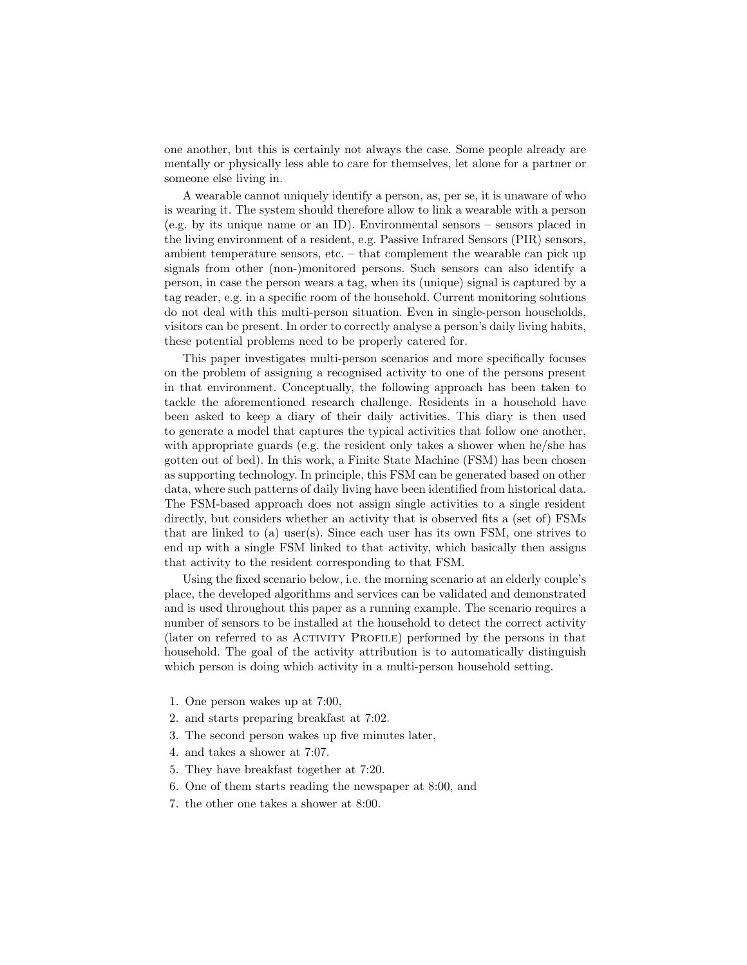one another, but this is certainly not always the case. Some people already are mentally or physically less able to care for themselves, let alone for a partner or someone else living in.

A wearable cannot uniquely identify a person, as, per se, it is unaware of who is wearing it. The system should therefore allow to link a wearable with a person (e.g. by its unique name or an ID). Environmental sensors – sensors placed in the living environment of a resident, e.g. Passive Infrared Sensors (PIR) sensors, ambient temperature sensors, etc. – that complement the wearable can pick up signals from other (non-)monitored persons. Such sensors can also identify a person, in case the person wears a tag, when its (unique) signal is captured by a tag reader, e.g. in a specific room of the household. Current monitoring solutions do not deal with this multi-person situation. Even in single-person households, visitors can be present. In order to correctly analyse a person's daily living habits, these potential problems need to be properly catered for.

This paper investigates multi-person scenarios and more specifically focuses on the problem of assigning a recognised activity to one of the persons present in that environment. Conceptually, the following approach has been taken to tackle the aforementioned research challenge. Residents in a household have been asked to keep a diary of their daily activities. This diary is then used to generate a model that captures the typical activities that follow one another, with appropriate guards (e.g. the resident only takes a shower when he/she has gotten out of bed). In this work, a Finite State Machine (FSM) has been chosen as supporting technology. In principle, this FSM can be generated based on other data, where such patterns of daily living have been identified from historical data. The FSM-based approach does not assign single activities to a single resident directly, but considers whether an activity that is observed fits a (set of) FSMs that are linked to (a) user(s). Since each user has its own FSM, one strives to end up with a single FSM linked to that activity, which basically then assigns that activity to the resident corresponding to that FSM.

Using the fixed scenario below, i.e. the morning scenario at an elderly couple's place, the developed algorithms and services can be validated and demonstrated and is used throughout this paper as a running example. The scenario requires a number of sensors to be installed at the household to detect the correct activity (later on referred to as ACTIVITY PROFILE) performed by the persons in that household. The goal of the activity attribution is to automatically distinguish which person is doing which activity in a multi-person household setting.

- 1. One person wakes up at 7:00,
- 2. and starts preparing breakfast at 7:02.
- 3. The second person wakes up five minutes later,
- 4. and takes a shower at 7:07.
- 5. They have breakfast together at 7:20.
- 6. One of them starts reading the newspaper at 8:00, and
- 7. the other one takes a shower at 8:00.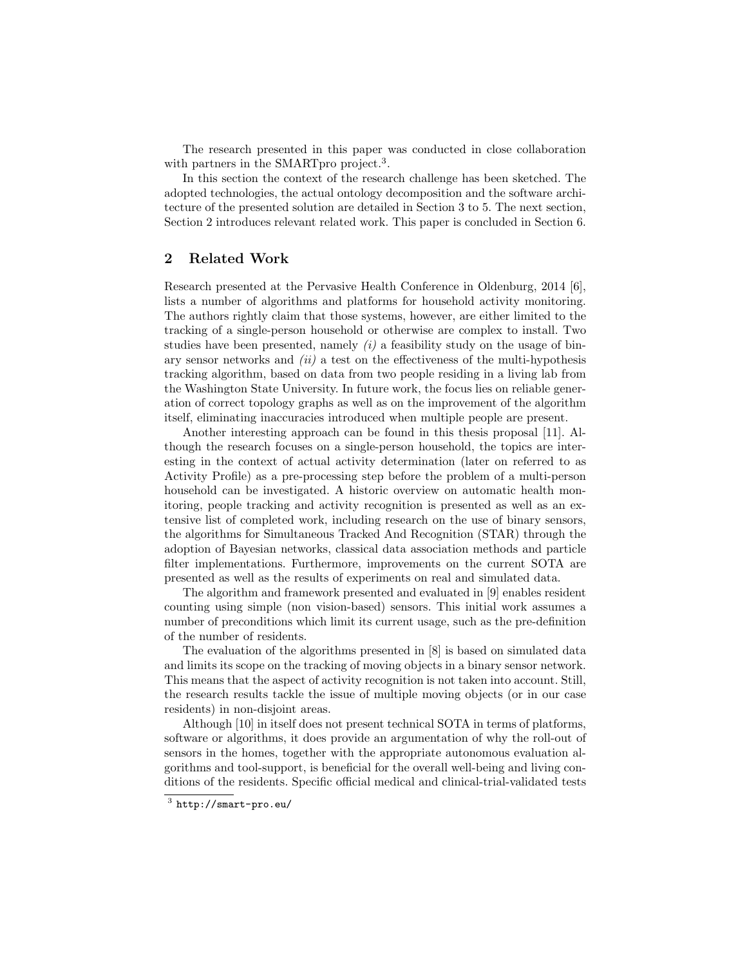The research presented in this paper was conducted in close collaboration with partners in the SMARTpro project.<sup>3</sup>.

In this section the context of the research challenge has been sketched. The adopted technologies, the actual ontology decomposition and the software architecture of the presented solution are detailed in Section 3 to 5. The next section, Section 2 introduces relevant related work. This paper is concluded in Section 6.

# 2 Related Work

Research presented at the Pervasive Health Conference in Oldenburg, 2014 [6], lists a number of algorithms and platforms for household activity monitoring. The authors rightly claim that those systems, however, are either limited to the tracking of a single-person household or otherwise are complex to install. Two studies have been presented, namely  $(i)$  a feasibility study on the usage of binary sensor networks and  $(ii)$  a test on the effectiveness of the multi-hypothesis tracking algorithm, based on data from two people residing in a living lab from the Washington State University. In future work, the focus lies on reliable generation of correct topology graphs as well as on the improvement of the algorithm itself, eliminating inaccuracies introduced when multiple people are present.

Another interesting approach can be found in this thesis proposal [11]. Although the research focuses on a single-person household, the topics are interesting in the context of actual activity determination (later on referred to as Activity Profile) as a pre-processing step before the problem of a multi-person household can be investigated. A historic overview on automatic health monitoring, people tracking and activity recognition is presented as well as an extensive list of completed work, including research on the use of binary sensors, the algorithms for Simultaneous Tracked And Recognition (STAR) through the adoption of Bayesian networks, classical data association methods and particle filter implementations. Furthermore, improvements on the current SOTA are presented as well as the results of experiments on real and simulated data.

The algorithm and framework presented and evaluated in [9] enables resident counting using simple (non vision-based) sensors. This initial work assumes a number of preconditions which limit its current usage, such as the pre-definition of the number of residents.

The evaluation of the algorithms presented in [8] is based on simulated data and limits its scope on the tracking of moving objects in a binary sensor network. This means that the aspect of activity recognition is not taken into account. Still, the research results tackle the issue of multiple moving objects (or in our case residents) in non-disjoint areas.

Although [10] in itself does not present technical SOTA in terms of platforms, software or algorithms, it does provide an argumentation of why the roll-out of sensors in the homes, together with the appropriate autonomous evaluation algorithms and tool-support, is beneficial for the overall well-being and living conditions of the residents. Specific official medical and clinical-trial-validated tests

 $3$  http://smart-pro.eu/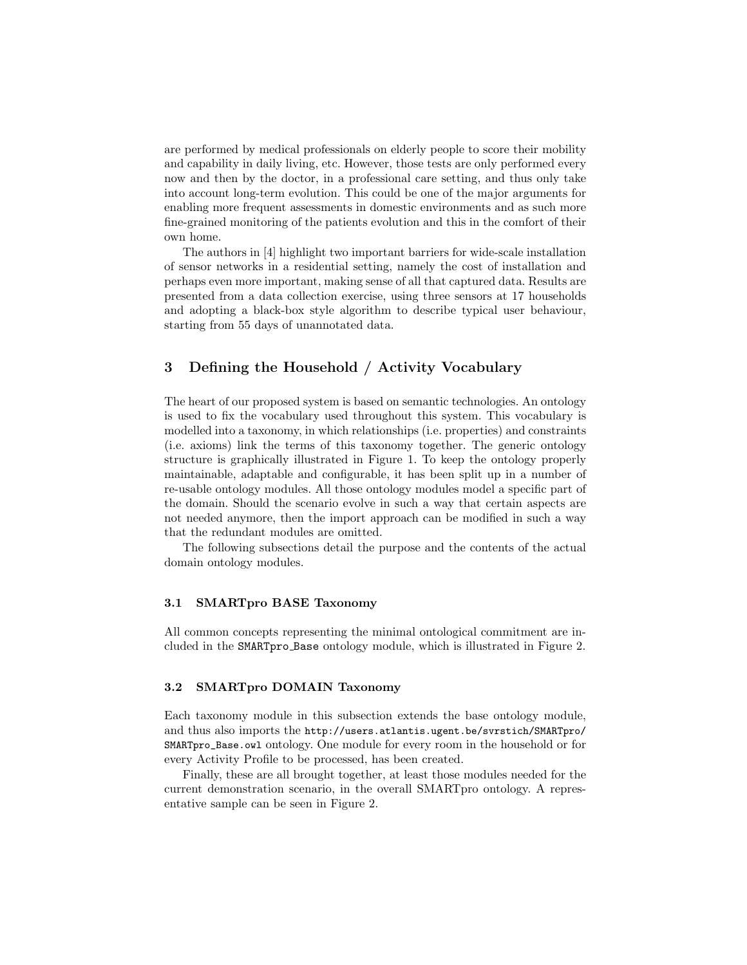are performed by medical professionals on elderly people to score their mobility and capability in daily living, etc. However, those tests are only performed every now and then by the doctor, in a professional care setting, and thus only take into account long-term evolution. This could be one of the major arguments for enabling more frequent assessments in domestic environments and as such more fine-grained monitoring of the patients evolution and this in the comfort of their own home.

The authors in [4] highlight two important barriers for wide-scale installation of sensor networks in a residential setting, namely the cost of installation and perhaps even more important, making sense of all that captured data. Results are presented from a data collection exercise, using three sensors at 17 households and adopting a black-box style algorithm to describe typical user behaviour, starting from 55 days of unannotated data.

# 3 Defining the Household / Activity Vocabulary

The heart of our proposed system is based on semantic technologies. An ontology is used to fix the vocabulary used throughout this system. This vocabulary is modelled into a taxonomy, in which relationships (i.e. properties) and constraints (i.e. axioms) link the terms of this taxonomy together. The generic ontology structure is graphically illustrated in Figure 1. To keep the ontology properly maintainable, adaptable and configurable, it has been split up in a number of re-usable ontology modules. All those ontology modules model a specific part of the domain. Should the scenario evolve in such a way that certain aspects are not needed anymore, then the import approach can be modified in such a way that the redundant modules are omitted.

The following subsections detail the purpose and the contents of the actual domain ontology modules.

### 3.1 SMARTpro BASE Taxonomy

All common concepts representing the minimal ontological commitment are included in the SMARTpro Base ontology module, which is illustrated in Figure 2.

# 3.2 SMARTpro DOMAIN Taxonomy

Each taxonomy module in this subsection extends the base ontology module, and thus also imports the http://users.atlantis.ugent.be/svrstich/SMARTpro/ SMARTpro\_Base.owl ontology. One module for every room in the household or for every Activity Profile to be processed, has been created.

Finally, these are all brought together, at least those modules needed for the current demonstration scenario, in the overall SMARTpro ontology. A representative sample can be seen in Figure 2.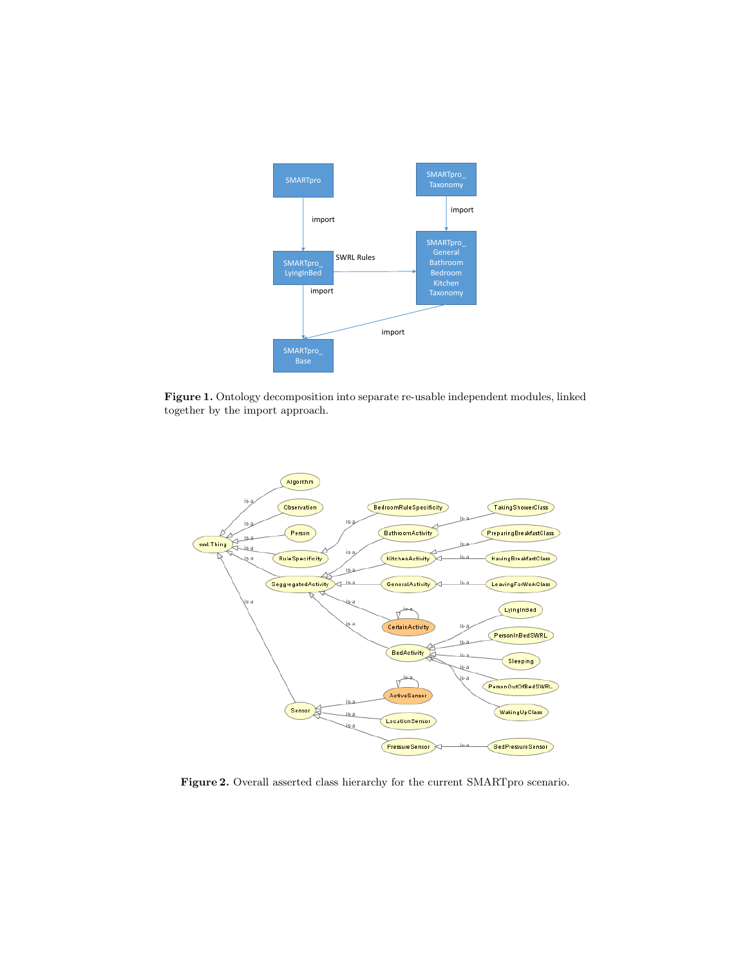

Figure 1. Ontology decomposition into separate re-usable independent modules, linked together by the import approach.



Figure 2. Overall asserted class hierarchy for the current SMARTpro scenario.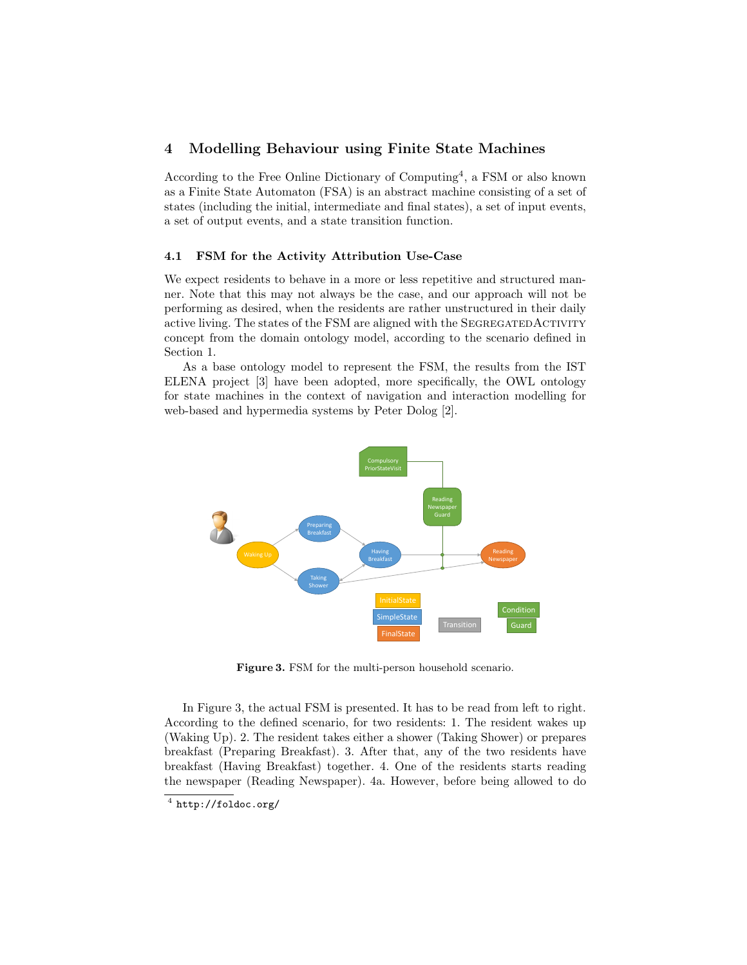# 4 Modelling Behaviour using Finite State Machines

According to the Free Online Dictionary of Computing<sup>4</sup>, a FSM or also known as a Finite State Automaton (FSA) is an abstract machine consisting of a set of states (including the initial, intermediate and final states), a set of input events, a set of output events, and a state transition function.

#### 4.1 FSM for the Activity Attribution Use-Case

We expect residents to behave in a more or less repetitive and structured manner. Note that this may not always be the case, and our approach will not be performing as desired, when the residents are rather unstructured in their daily active living. The states of the FSM are aligned with the SEGREGATEDACTIVITY concept from the domain ontology model, according to the scenario defined in Section 1.

As a base ontology model to represent the FSM, the results from the IST ELENA project [3] have been adopted, more specifically, the OWL ontology for state machines in the context of navigation and interaction modelling for web-based and hypermedia systems by Peter Dolog [2].



Figure 3. FSM for the multi-person household scenario.

In Figure 3, the actual FSM is presented. It has to be read from left to right. According to the defined scenario, for two residents: 1. The resident wakes up (Waking Up). 2. The resident takes either a shower (Taking Shower) or prepares breakfast (Preparing Breakfast). 3. After that, any of the two residents have breakfast (Having Breakfast) together. 4. One of the residents starts reading the newspaper (Reading Newspaper). 4a. However, before being allowed to do

 $^4$  http://foldoc.org/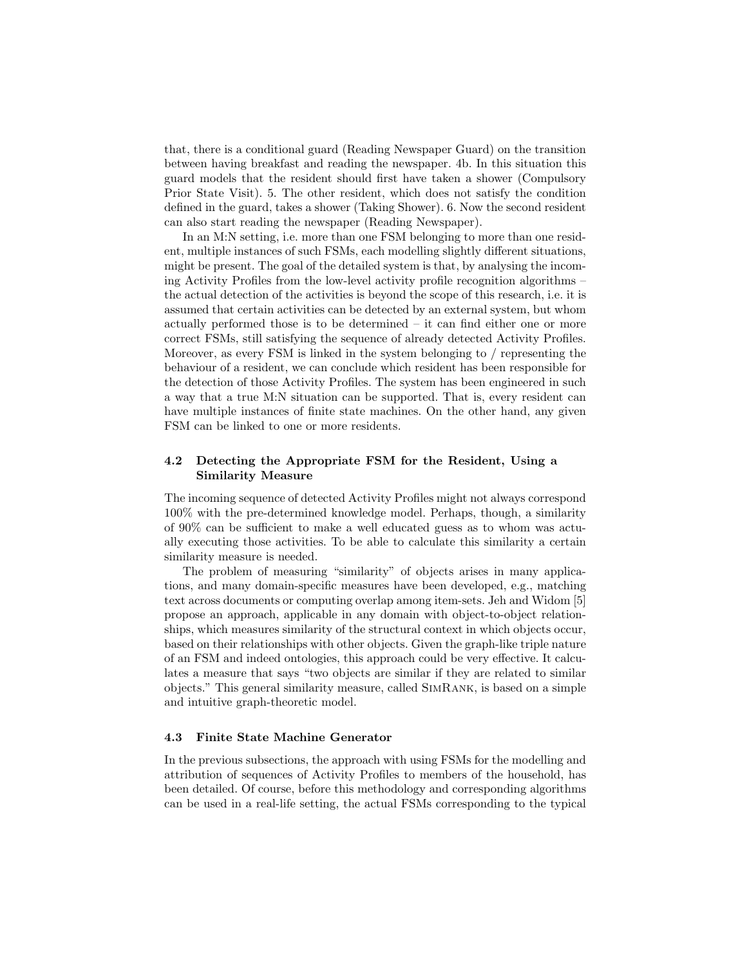that, there is a conditional guard (Reading Newspaper Guard) on the transition between having breakfast and reading the newspaper. 4b. In this situation this guard models that the resident should first have taken a shower (Compulsory Prior State Visit). 5. The other resident, which does not satisfy the condition defined in the guard, takes a shower (Taking Shower). 6. Now the second resident can also start reading the newspaper (Reading Newspaper).

In an M:N setting, i.e. more than one FSM belonging to more than one resident, multiple instances of such FSMs, each modelling slightly different situations, might be present. The goal of the detailed system is that, by analysing the incoming Activity Profiles from the low-level activity profile recognition algorithms – the actual detection of the activities is beyond the scope of this research, i.e. it is assumed that certain activities can be detected by an external system, but whom actually performed those is to be determined – it can find either one or more correct FSMs, still satisfying the sequence of already detected Activity Profiles. Moreover, as every FSM is linked in the system belonging to / representing the behaviour of a resident, we can conclude which resident has been responsible for the detection of those Activity Profiles. The system has been engineered in such a way that a true M:N situation can be supported. That is, every resident can have multiple instances of finite state machines. On the other hand, any given FSM can be linked to one or more residents.

## 4.2 Detecting the Appropriate FSM for the Resident, Using a Similarity Measure

The incoming sequence of detected Activity Profiles might not always correspond 100% with the pre-determined knowledge model. Perhaps, though, a similarity of 90% can be sufficient to make a well educated guess as to whom was actually executing those activities. To be able to calculate this similarity a certain similarity measure is needed.

The problem of measuring "similarity" of objects arises in many applications, and many domain-specific measures have been developed, e.g., matching text across documents or computing overlap among item-sets. Jeh and Widom [5] propose an approach, applicable in any domain with object-to-object relationships, which measures similarity of the structural context in which objects occur, based on their relationships with other objects. Given the graph-like triple nature of an FSM and indeed ontologies, this approach could be very effective. It calculates a measure that says "two objects are similar if they are related to similar objects." This general similarity measure, called SimRank, is based on a simple and intuitive graph-theoretic model.

### 4.3 Finite State Machine Generator

In the previous subsections, the approach with using FSMs for the modelling and attribution of sequences of Activity Profiles to members of the household, has been detailed. Of course, before this methodology and corresponding algorithms can be used in a real-life setting, the actual FSMs corresponding to the typical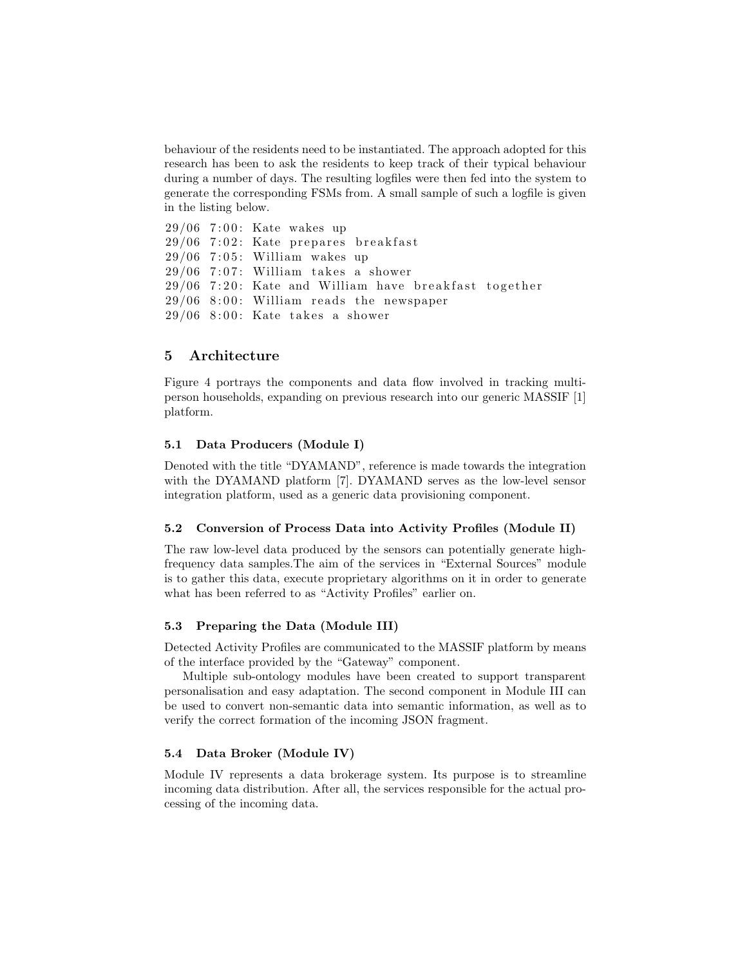behaviour of the residents need to be instantiated. The approach adopted for this research has been to ask the residents to keep track of their typical behaviour during a number of days. The resulting logfiles were then fed into the system to generate the corresponding FSMs from. A small sample of such a logfile is given in the listing below.

 $29/06$  7:00: Kate wakes up  $29/06$  7:02: Kate prepares breakfast  $29/06$  7:05: William wakes up  $29/06$  7:07: William takes a shower  $29/06$  7:20: Kate and William have breakfast together  $29/06$  8:00: William reads the newspaper  $29/06$  8:00: Kate takes a shower

# 5 Architecture

Figure 4 portrays the components and data flow involved in tracking multiperson households, expanding on previous research into our generic MASSIF [1] platform.

#### 5.1 Data Producers (Module I)

Denoted with the title "DYAMAND", reference is made towards the integration with the DYAMAND platform [7]. DYAMAND serves as the low-level sensor integration platform, used as a generic data provisioning component.

## 5.2 Conversion of Process Data into Activity Profiles (Module II)

The raw low-level data produced by the sensors can potentially generate highfrequency data samples.The aim of the services in "External Sources" module is to gather this data, execute proprietary algorithms on it in order to generate what has been referred to as "Activity Profiles" earlier on.

## 5.3 Preparing the Data (Module III)

Detected Activity Profiles are communicated to the MASSIF platform by means of the interface provided by the "Gateway" component.

Multiple sub-ontology modules have been created to support transparent personalisation and easy adaptation. The second component in Module III can be used to convert non-semantic data into semantic information, as well as to verify the correct formation of the incoming JSON fragment.

### 5.4 Data Broker (Module IV)

Module IV represents a data brokerage system. Its purpose is to streamline incoming data distribution. After all, the services responsible for the actual processing of the incoming data.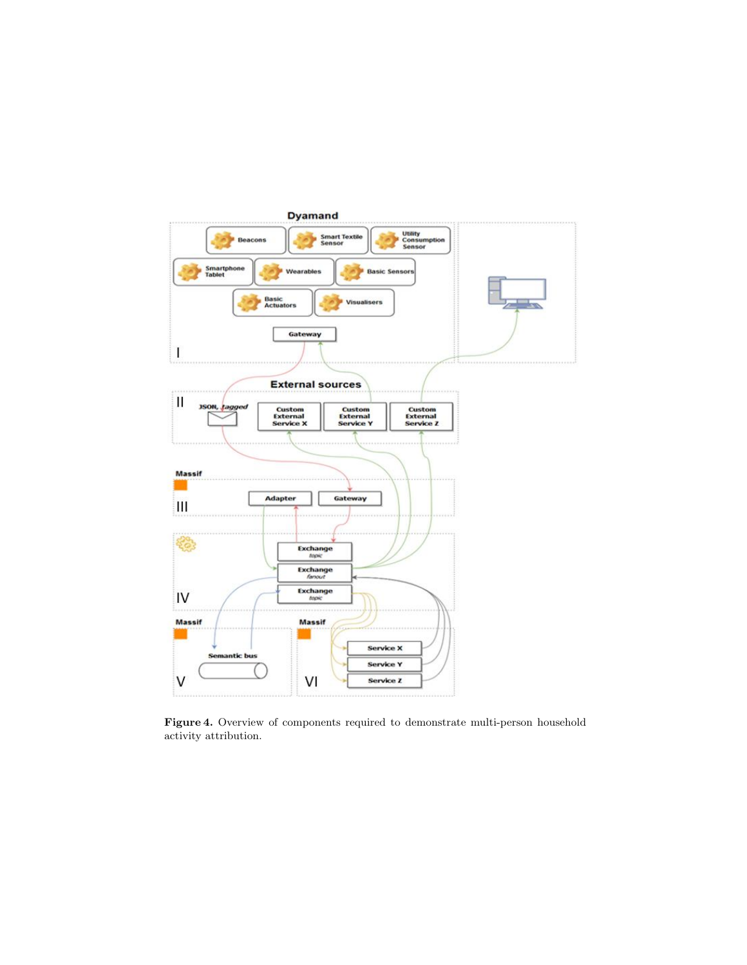

Figure 4. Overview of components required to demonstrate multi-person household activity attribution.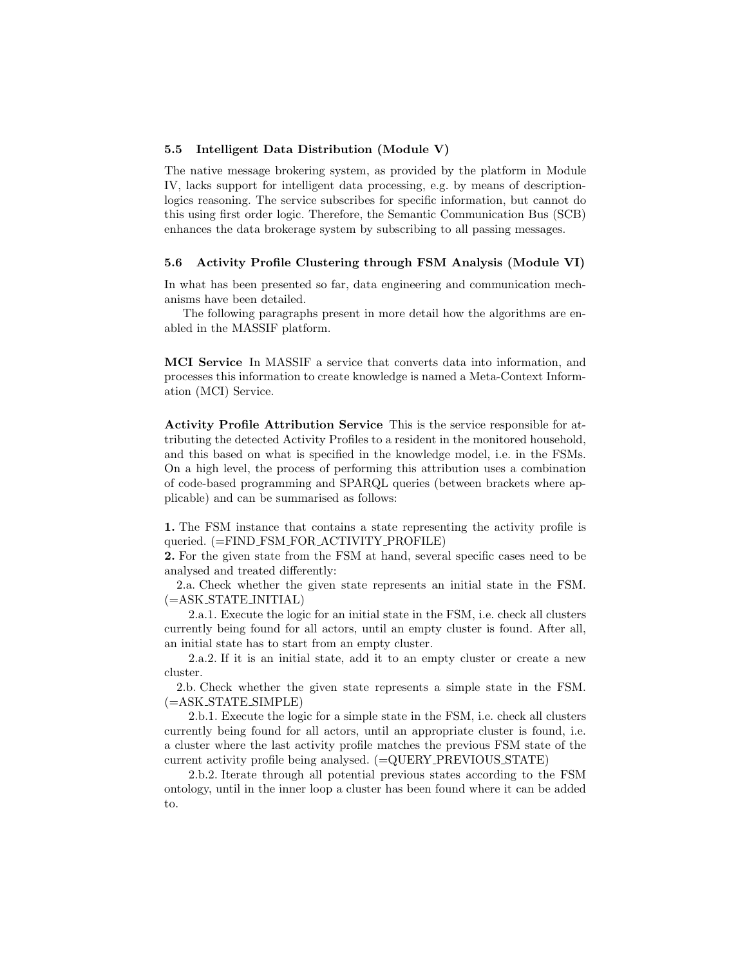#### 5.5 Intelligent Data Distribution (Module V)

The native message brokering system, as provided by the platform in Module IV, lacks support for intelligent data processing, e.g. by means of descriptionlogics reasoning. The service subscribes for specific information, but cannot do this using first order logic. Therefore, the Semantic Communication Bus (SCB) enhances the data brokerage system by subscribing to all passing messages.

#### 5.6 Activity Profile Clustering through FSM Analysis (Module VI)

In what has been presented so far, data engineering and communication mechanisms have been detailed.

The following paragraphs present in more detail how the algorithms are enabled in the MASSIF platform.

MCI Service In MASSIF a service that converts data into information, and processes this information to create knowledge is named a Meta-Context Information (MCI) Service.

Activity Profile Attribution Service This is the service responsible for attributing the detected Activity Profiles to a resident in the monitored household, and this based on what is specified in the knowledge model, i.e. in the FSMs. On a high level, the process of performing this attribution uses a combination of code-based programming and SPARQL queries (between brackets where applicable) and can be summarised as follows:

1. The FSM instance that contains a state representing the activity profile is queried. (=FIND FSM FOR ACTIVITY PROFILE)

2. For the given state from the FSM at hand, several specific cases need to be analysed and treated differently:

2.a. Check whether the given state represents an initial state in the FSM. (=ASK STATE INITIAL)

2.a.1. Execute the logic for an initial state in the FSM, i.e. check all clusters currently being found for all actors, until an empty cluster is found. After all, an initial state has to start from an empty cluster.

2.a.2. If it is an initial state, add it to an empty cluster or create a new cluster.

2.b. Check whether the given state represents a simple state in the FSM.  $(=\!\!ASK\_STATE\_SIMPLE)$ 

2.b.1. Execute the logic for a simple state in the FSM, i.e. check all clusters currently being found for all actors, until an appropriate cluster is found, i.e. a cluster where the last activity profile matches the previous FSM state of the current activity profile being analysed. (=QUERY PREVIOUS STATE)

2.b.2. Iterate through all potential previous states according to the FSM ontology, until in the inner loop a cluster has been found where it can be added to.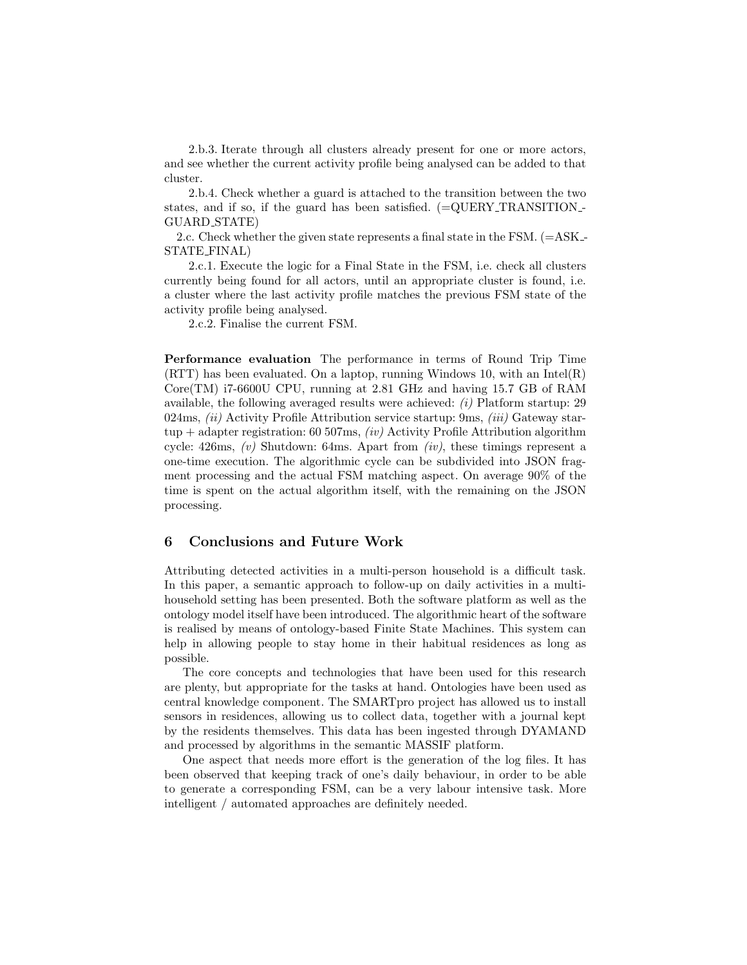2.b.3. Iterate through all clusters already present for one or more actors, and see whether the current activity profile being analysed can be added to that cluster.

2.b.4. Check whether a guard is attached to the transition between the two states, and if so, if the guard has been satisfied.  $(=\text{QUERY} \text{TRANSITION} -$ GUARD STATE)

2.c. Check whether the given state represents a final state in the FSM. (=ASK - STATE FINAL)

2.c.1. Execute the logic for a Final State in the FSM, i.e. check all clusters currently being found for all actors, until an appropriate cluster is found, i.e. a cluster where the last activity profile matches the previous FSM state of the activity profile being analysed.

2.c.2. Finalise the current FSM.

Performance evaluation The performance in terms of Round Trip Time (RTT) has been evaluated. On a laptop, running Windows 10, with an Intel(R) Core(TM) i7-6600U CPU, running at 2.81 GHz and having 15.7 GB of RAM available, the following averaged results were achieved:  $(i)$  Platform startup: 29 024ms,  $(ii)$  Activity Profile Attribution service startup: 9ms,  $(iii)$  Gateway startup + adapter registration: 60 507ms,  $(iv)$  Activity Profile Attribution algorithm cycle: 426ms,  $(v)$  Shutdown: 64ms. Apart from  $(iv)$ , these timings represent a one-time execution. The algorithmic cycle can be subdivided into JSON fragment processing and the actual FSM matching aspect. On average 90% of the time is spent on the actual algorithm itself, with the remaining on the JSON processing.

# 6 Conclusions and Future Work

Attributing detected activities in a multi-person household is a difficult task. In this paper, a semantic approach to follow-up on daily activities in a multihousehold setting has been presented. Both the software platform as well as the ontology model itself have been introduced. The algorithmic heart of the software is realised by means of ontology-based Finite State Machines. This system can help in allowing people to stay home in their habitual residences as long as possible.

The core concepts and technologies that have been used for this research are plenty, but appropriate for the tasks at hand. Ontologies have been used as central knowledge component. The SMARTpro project has allowed us to install sensors in residences, allowing us to collect data, together with a journal kept by the residents themselves. This data has been ingested through DYAMAND and processed by algorithms in the semantic MASSIF platform.

One aspect that needs more effort is the generation of the log files. It has been observed that keeping track of one's daily behaviour, in order to be able to generate a corresponding FSM, can be a very labour intensive task. More intelligent / automated approaches are definitely needed.